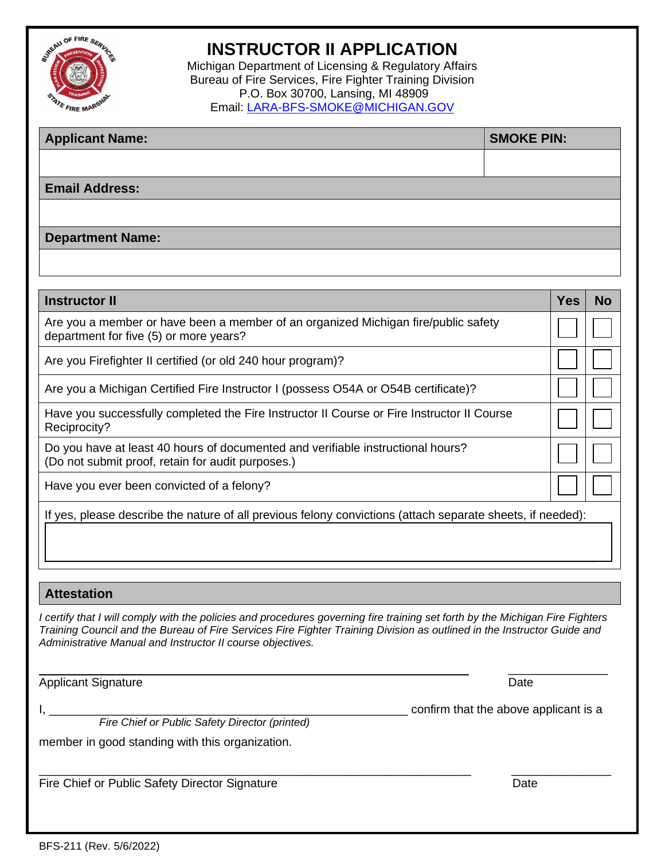

## **INSTRUCTOR II APPLICATION**

Michigan Department of Licensing & Regulatory Affairs Bureau of Fire Services, Fire Fighter Training Division P.O. Box 30700, Lansing, MI 48909 Email: [LARA-BFS-SMOKE@MICHIGAN.GOV](mailto:LARA-BFS-SMOKE@MICHIGAN.GOV)

| <b>Applicant Name:</b>  | <b>SMOKE PIN:</b> |
|-------------------------|-------------------|
|                         |                   |
| <b>Email Address:</b>   |                   |
|                         |                   |
| <b>Department Name:</b> |                   |

| <b>Instructor II</b>                                                                                                                 | Yes | <b>No</b> |
|--------------------------------------------------------------------------------------------------------------------------------------|-----|-----------|
| Are you a member or have been a member of an organized Michigan fire/public safety<br>department for five (5) or more years?         |     |           |
| Are you Firefighter II certified (or old 240 hour program)?                                                                          |     |           |
| Are you a Michigan Certified Fire Instructor I (possess O54A or O54B certificate)?                                                   |     |           |
| Have you successfully completed the Fire Instructor II Course or Fire Instructor II Course<br>Reciprocity?                           |     |           |
| Do you have at least 40 hours of documented and verifiable instructional hours?<br>(Do not submit proof, retain for audit purposes.) |     |           |
| Have you ever been convicted of a felony?                                                                                            |     |           |
| If yes, please describe the nature of all previous felony convictions (attach separate sheets, if needed):                           |     |           |

## **Attestation**

*I certify that I will comply with the policies and procedures governing fire training set forth by the Michigan Fire Fighters Training Council and the Bureau of Fire Services Fire Fighter Training Division as outlined in the Instructor Guide and Administrative Manual and Instructor II course objectives.* 

 $\Box$ 

Applicant Signature Date

 $\mathcal{L}_\text{max}$  , and the contract of the contract of the contract of the contract of the contract of the contract of the contract of the contract of the contract of the contract of the contract of the contract of the contr

I, \_\_\_\_\_\_\_\_\_\_\_\_\_\_\_\_\_\_\_\_\_\_\_\_\_\_\_\_\_\_\_\_\_\_\_\_\_\_\_\_\_\_\_\_\_\_\_\_\_\_\_\_\_\_ confirm that the above applicant is a

 *Fire Chief or Public Safety Director (printed)*

member in good standing with this organization.

\_\_\_\_\_\_\_\_\_\_\_\_\_\_\_\_\_\_\_\_\_\_\_\_\_\_\_\_\_\_\_\_\_\_\_\_\_\_\_\_\_\_\_\_\_\_\_\_\_\_\_\_\_\_\_\_\_\_\_\_\_\_\_\_\_ \_\_\_\_\_\_\_\_\_\_\_\_\_\_\_ Fire Chief or Public Safety Director Signature **Date** Date Date